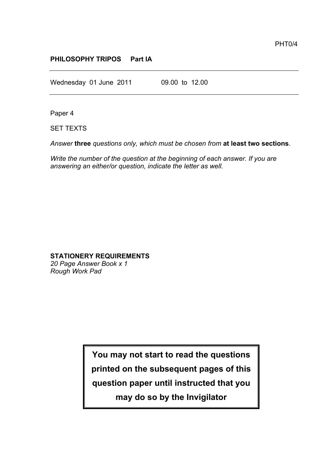## **PHILOSOPHY TRIPOS Part IA**

Wednesday 01 June 2011 09.00 to 12.00

Paper 4

SET TEXTS

*Answer* **three** *questions only, which must be chosen from* **at least two sections**.

*Write the number of the question at the beginning of each answer. If you are answering an either/or question, indicate the letter as well.*

## **STATIONERY REQUIREMENTS**

*20 Page Answer Book x 1 Rough Work Pad*

> **You may not start to read the questions printed on the subsequent pages of this question paper until instructed that you**

> > **may do so by the Invigilator**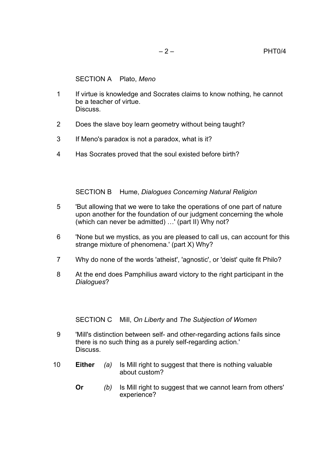SECTION A Plato, *Meno*

- 1 If virtue is knowledge and Socrates claims to know nothing, he cannot be a teacher of virtue. **Discuss**
- 2 Does the slave boy learn geometry without being taught?
- 3 If Meno's paradox is not a paradox, what is it?
- 4 Has Socrates proved that the soul existed before birth?

SECTION B Hume, *Dialogues Concerning Natural Religion*

- 5 'But allowing that we were to take the operations of one part of nature upon another for the foundation of our judgment concerning the whole (which can never be admitted) …' (part II) Why not?
- 6 'None but we mystics, as you are pleased to call us, can account for this strange mixture of phenomena.' (part X) Why?
- 7 Why do none of the words 'atheist', 'agnostic', or 'deist' quite fit Philo?
- 8 At the end does Pamphilius award victory to the right participant in the *Dialogues*?

SECTION C Mill, *On Liberty* and *The Subjection of Women*

- 9 'Mill's distinction between self- and other-regarding actions fails since there is no such thing as a purely self-regarding action.' Discuss.
- 10 **Either** *(a)* Is Mill right to suggest that there is nothing valuable about custom?
	- **Or** *(b)* Is Mill right to suggest that we cannot learn from others' experience?